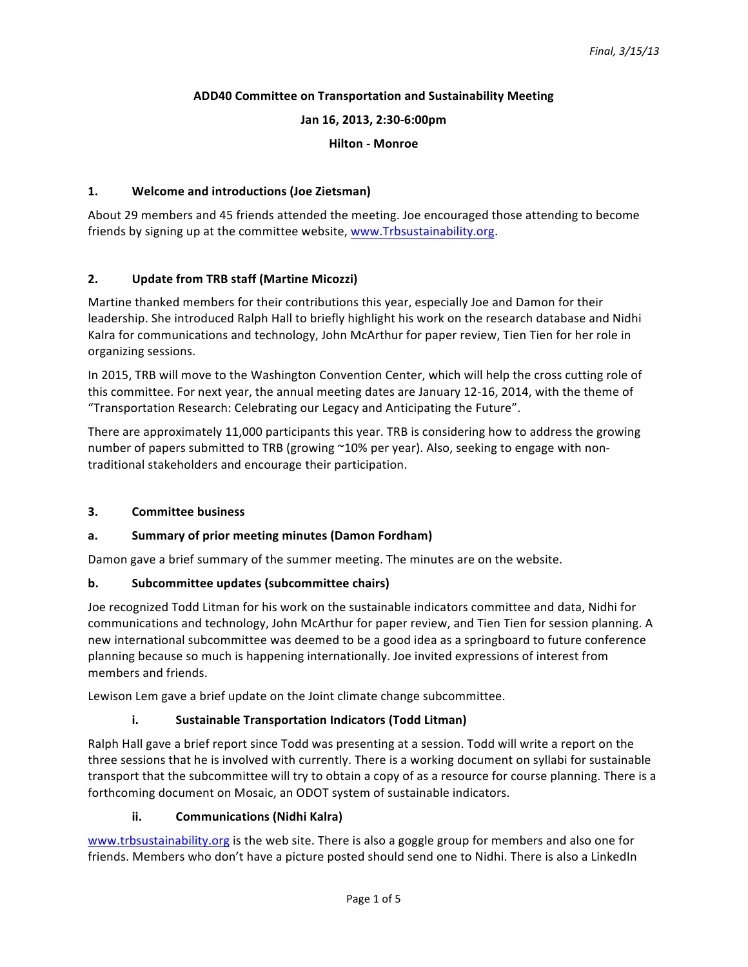### **ADD40 Committee on Transportation and Sustainability Meeting**

**Jan 16, 2013, 2:30-6:00pm**

**Hilton - Monroe**

### **1. Welcome and introductions (Joe Zietsman)**

About 29 members and 45 friends attended the meeting. Joe encouraged those attending to become friends by signing up at the committee website, www.Trbsustainability.org.

### **2. Update from TRB staff (Martine Micozzi)**

Martine thanked members for their contributions this year, especially Joe and Damon for their leadership. She introduced Ralph Hall to briefly highlight his work on the research database and Nidhi Kalra for communications and technology, John McArthur for paper review, Tien Tien for her role in organizing sessions.

In 2015, TRB will move to the Washington Convention Center, which will help the cross cutting role of this committee. For next year, the annual meeting dates are January 12-16, 2014, with the theme of "Transportation Research: Celebrating our Legacy and Anticipating the Future".

There are approximately 11,000 participants this year. TRB is considering how to address the growing number of papers submitted to TRB (growing ~10% per year). Also, seeking to engage with nontraditional stakeholders and encourage their participation.

### **3. Committee business**

### a. Summary of prior meeting minutes (Damon Fordham)

Damon gave a brief summary of the summer meeting. The minutes are on the website.

### **b.** Subcommittee updates (subcommittee chairs)

Joe recognized Todd Litman for his work on the sustainable indicators committee and data, Nidhi for communications and technology, John McArthur for paper review, and Tien Tien for session planning. A new international subcommittee was deemed to be a good idea as a springboard to future conference planning because so much is happening internationally. Joe invited expressions of interest from members and friends.

Lewison Lem gave a brief update on the Joint climate change subcommittee.

### **i.** Sustainable Transportation Indicators (Todd Litman)

Ralph Hall gave a brief report since Todd was presenting at a session. Todd will write a report on the three sessions that he is involved with currently. There is a working document on syllabi for sustainable transport that the subcommittee will try to obtain a copy of as a resource for course planning. There is a forthcoming document on Mosaic, an ODOT system of sustainable indicators.

### **ii. Communications** (Nidhi Kalra)

www.trbsustainability.org is the web site. There is also a goggle group for members and also one for friends. Members who don't have a picture posted should send one to Nidhi. There is also a LinkedIn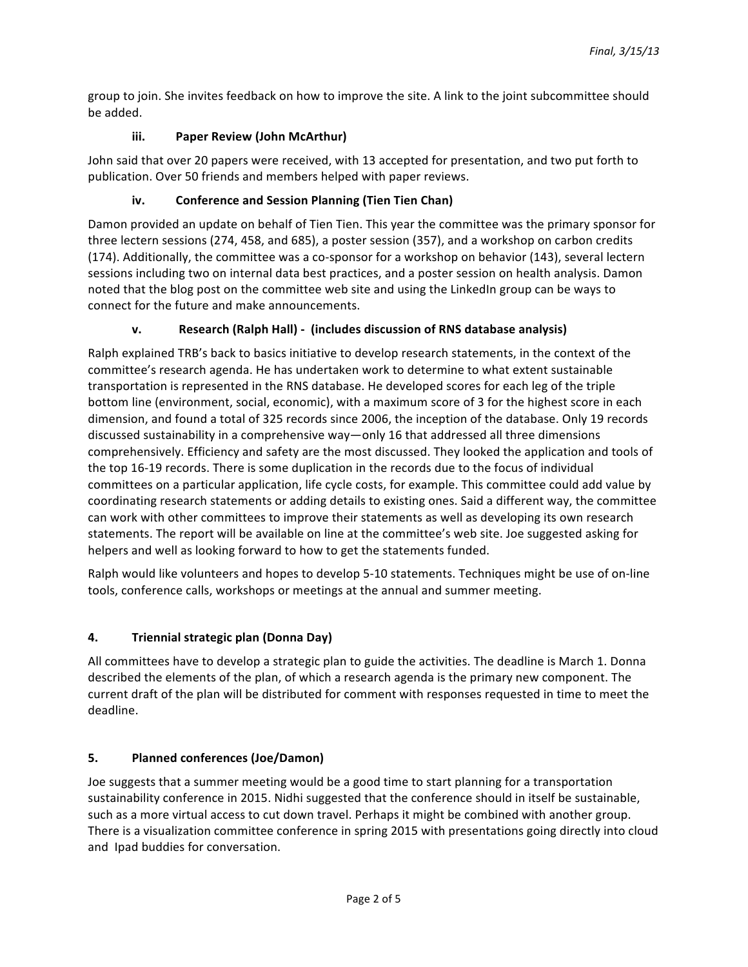group to join. She invites feedback on how to improve the site. A link to the joint subcommittee should be added.

# **iii. Paper Review (John McArthur)**

John said that over 20 papers were received, with 13 accepted for presentation, and two put forth to publication. Over 50 friends and members helped with paper reviews.

# iv. Conference and Session Planning (Tien Tien Chan)

Damon provided an update on behalf of Tien Tien. This year the committee was the primary sponsor for three lectern sessions (274, 458, and 685), a poster session (357), and a workshop on carbon credits (174). Additionally, the committee was a co-sponsor for a workshop on behavior (143), several lectern sessions including two on internal data best practices, and a poster session on health analysis. Damon noted that the blog post on the committee web site and using the LinkedIn group can be ways to connect for the future and make announcements.

# **v. Research (Ralph Hall)** - (includes discussion of RNS database analysis)

Ralph explained TRB's back to basics initiative to develop research statements, in the context of the committee's research agenda. He has undertaken work to determine to what extent sustainable transportation is represented in the RNS database. He developed scores for each leg of the triple bottom line (environment, social, economic), with a maximum score of 3 for the highest score in each dimension, and found a total of 325 records since 2006, the inception of the database. Only 19 records discussed sustainability in a comprehensive way—only 16 that addressed all three dimensions comprehensively. Efficiency and safety are the most discussed. They looked the application and tools of the top 16-19 records. There is some duplication in the records due to the focus of individual committees on a particular application, life cycle costs, for example. This committee could add value by coordinating research statements or adding details to existing ones. Said a different way, the committee can work with other committees to improve their statements as well as developing its own research statements. The report will be available on line at the committee's web site. Joe suggested asking for helpers and well as looking forward to how to get the statements funded.

Ralph would like volunteers and hopes to develop 5-10 statements. Techniques might be use of on-line tools, conference calls, workshops or meetings at the annual and summer meeting.

## **4. Triennial strategic plan (Donna Day)**

All committees have to develop a strategic plan to guide the activities. The deadline is March 1. Donna described the elements of the plan, of which a research agenda is the primary new component. The current draft of the plan will be distributed for comment with responses requested in time to meet the deadline.

## **5. Planned conferences (Joe/Damon)**

Joe suggests that a summer meeting would be a good time to start planning for a transportation sustainability conference in 2015. Nidhi suggested that the conference should in itself be sustainable, such as a more virtual access to cut down travel. Perhaps it might be combined with another group. There is a visualization committee conference in spring 2015 with presentations going directly into cloud and Ipad buddies for conversation.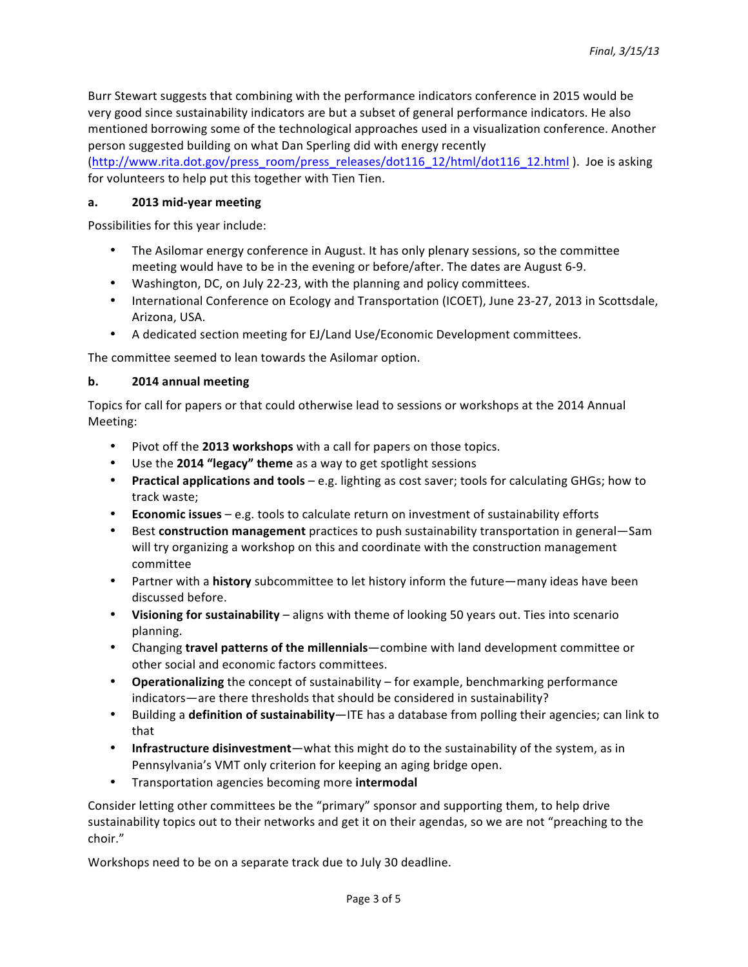Burr Stewart suggests that combining with the performance indicators conference in 2015 would be very good since sustainability indicators are but a subset of general performance indicators. He also mentioned borrowing some of the technological approaches used in a visualization conference. Another person suggested building on what Dan Sperling did with energy recently

(http://www.rita.dot.gov/press\_room/press\_releases/dot116\_12/html/dot116\_12.html ). Joe is asking for volunteers to help put this together with Tien Tien.

## **a. 2013 mid-year meeting**

Possibilities for this year include:

- The Asilomar energy conference in August. It has only plenary sessions, so the committee meeting would have to be in the evening or before/after. The dates are August 6-9.
- Washington, DC, on July 22-23, with the planning and policy committees.
- International Conference on Ecology and Transportation (ICOET), June 23-27, 2013 in Scottsdale, Arizona, USA.
- A dedicated section meeting for EJ/Land Use/Economic Development committees.

The committee seemed to lean towards the Asilomar option.

## **b. 2014 annual meeting**

Topics for call for papers or that could otherwise lead to sessions or workshops at the 2014 Annual Meeting:

- Pivot off the **2013 workshops** with a call for papers on those topics.
- Use the 2014 "legacy" theme as a way to get spotlight sessions
- **Practical applications and tools** e.g. lighting as cost saver; tools for calculating GHGs; how to track waste;
- **Economic issues** e.g. tools to calculate return on investment of sustainability efforts
- Best **construction management** practices to push sustainability transportation in general—Sam will try organizing a workshop on this and coordinate with the construction management committee
- Partner with a **history** subcommittee to let history inform the future—many ideas have been discussed before.
- Visioning for sustainability aligns with theme of looking 50 years out. Ties into scenario planning.
- Changing **travel patterns of the millennials**—combine with land development committee or other social and economic factors committees.
- **Operationalizing** the concept of sustainability for example, benchmarking performance indicators—are there thresholds that should be considered in sustainability?
- Building a **definition of sustainability**—ITE has a database from polling their agencies; can link to that
- Infrastructure disinvestment—what this might do to the sustainability of the system, as in Pennsylvania's VMT only criterion for keeping an aging bridge open.
- Transportation agencies becoming more **intermodal**

Consider letting other committees be the "primary" sponsor and supporting them, to help drive sustainability topics out to their networks and get it on their agendas, so we are not "preaching to the choir."

Workshops need to be on a separate track due to July 30 deadline.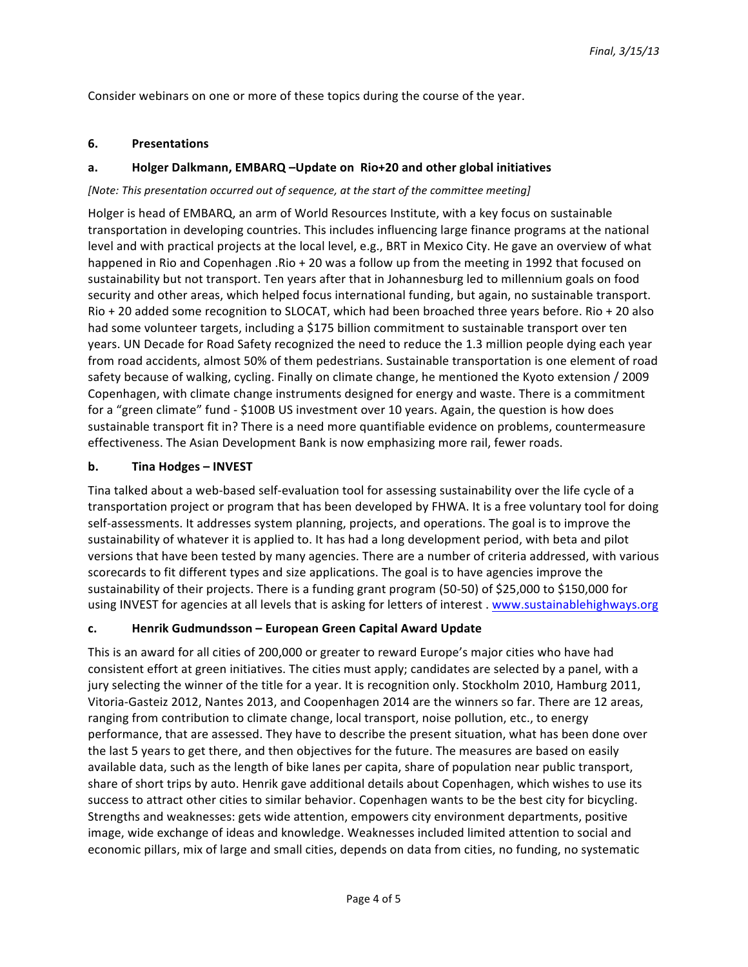Consider webinars on one or more of these topics during the course of the year.

### **6. Presentations**

## a. **Holger Dalkmann, EMBARQ** - Update on Rio+20 and other global initiatives

### *[Note: This presentation occurred out of sequence, at the start of the committee meeting]*

Holger is head of EMBARQ, an arm of World Resources Institute, with a key focus on sustainable transportation in developing countries. This includes influencing large finance programs at the national level and with practical projects at the local level, e.g., BRT in Mexico City. He gave an overview of what happened in Rio and Copenhagen .Rio + 20 was a follow up from the meeting in 1992 that focused on sustainability but not transport. Ten years after that in Johannesburg led to millennium goals on food security and other areas, which helped focus international funding, but again, no sustainable transport.  $R$ io + 20 added some recognition to SLOCAT, which had been broached three years before. Rio + 20 also had some volunteer targets, including a \$175 billion commitment to sustainable transport over ten years. UN Decade for Road Safety recognized the need to reduce the 1.3 million people dying each year from road accidents, almost 50% of them pedestrians. Sustainable transportation is one element of road safety because of walking, cycling. Finally on climate change, he mentioned the Kyoto extension / 2009 Copenhagen, with climate change instruments designed for energy and waste. There is a commitment for a "green climate" fund - \$100B US investment over 10 years. Again, the question is how does sustainable transport fit in? There is a need more quantifiable evidence on problems, countermeasure effectiveness. The Asian Development Bank is now emphasizing more rail, fewer roads.

## **b.** Tina Hodges – **INVEST**

Tina talked about a web-based self-evaluation tool for assessing sustainability over the life cycle of a transportation project or program that has been developed by FHWA. It is a free voluntary tool for doing self-assessments. It addresses system planning, projects, and operations. The goal is to improve the sustainability of whatever it is applied to. It has had a long development period, with beta and pilot versions that have been tested by many agencies. There are a number of criteria addressed, with various scorecards to fit different types and size applications. The goal is to have agencies improve the sustainability of their projects. There is a funding grant program (50-50) of \$25,000 to \$150,000 for using INVEST for agencies at all levels that is asking for letters of interest . www.sustainablehighways.org

### **c. Henrik Gudmundsson – European Green Capital Award Update**

This is an award for all cities of 200,000 or greater to reward Europe's major cities who have had consistent effort at green initiatives. The cities must apply; candidates are selected by a panel, with a jury selecting the winner of the title for a year. It is recognition only. Stockholm 2010, Hamburg 2011, Vitoria-Gasteiz 2012, Nantes 2013, and Coopenhagen 2014 are the winners so far. There are 12 areas, ranging from contribution to climate change, local transport, noise pollution, etc., to energy performance, that are assessed. They have to describe the present situation, what has been done over the last 5 years to get there, and then objectives for the future. The measures are based on easily available data, such as the length of bike lanes per capita, share of population near public transport, share of short trips by auto. Henrik gave additional details about Copenhagen, which wishes to use its success to attract other cities to similar behavior. Copenhagen wants to be the best city for bicycling. Strengths and weaknesses: gets wide attention, empowers city environment departments, positive image, wide exchange of ideas and knowledge. Weaknesses included limited attention to social and economic pillars, mix of large and small cities, depends on data from cities, no funding, no systematic